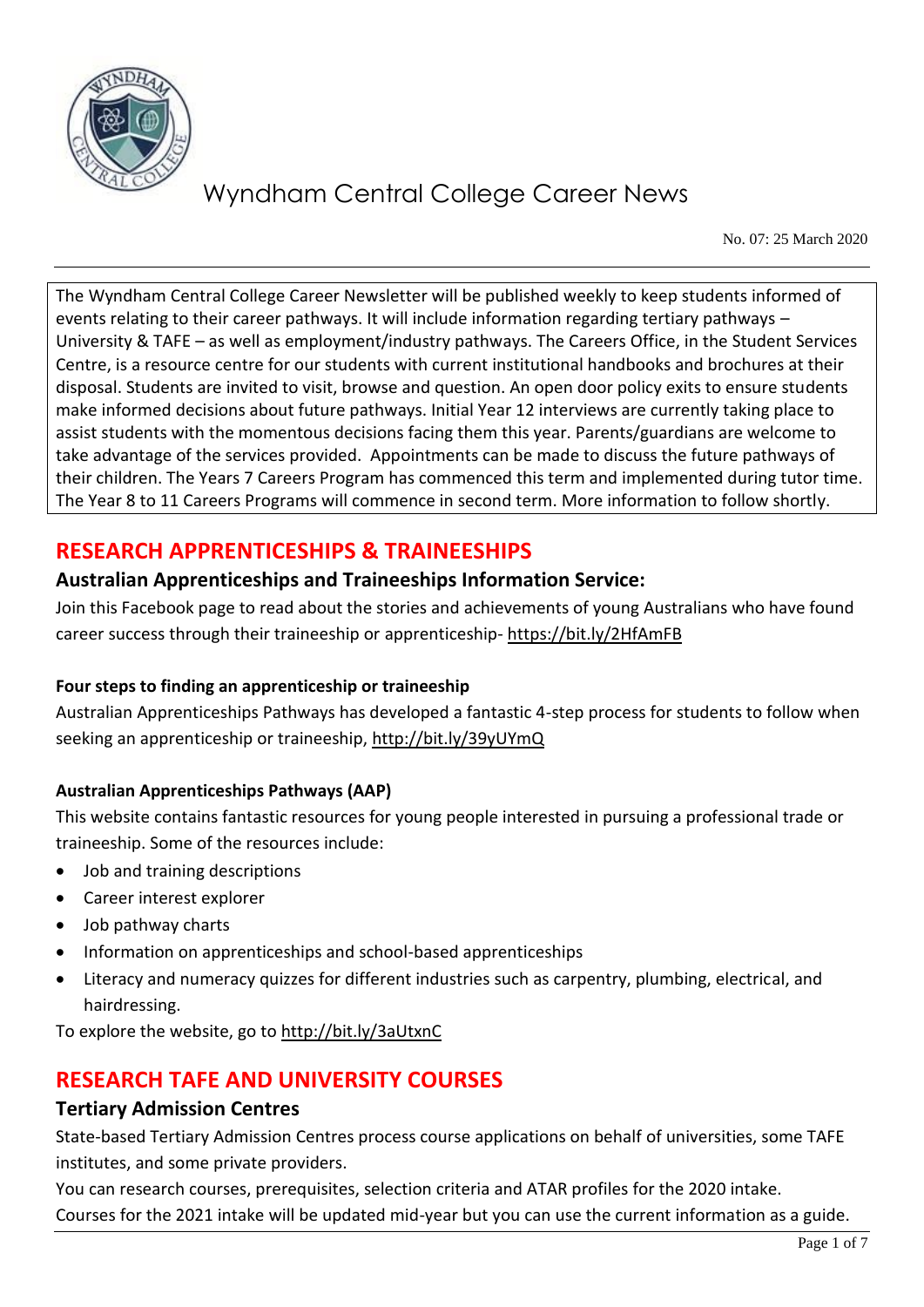

No. 07: 25 March 2020

The Wyndham Central College Career Newsletter will be published weekly to keep students informed of events relating to their career pathways. It will include information regarding tertiary pathways – University & TAFE – as well as employment/industry pathways. The Careers Office, in the Student Services Centre, is a resource centre for our students with current institutional handbooks and brochures at their disposal. Students are invited to visit, browse and question. An open door policy exits to ensure students make informed decisions about future pathways. Initial Year 12 interviews are currently taking place to assist students with the momentous decisions facing them this year. Parents/guardians are welcome to take advantage of the services provided. Appointments can be made to discuss the future pathways of their children. The Years 7 Careers Program has commenced this term and implemented during tutor time. The Year 8 to 11 Careers Programs will commence in second term. More information to follow shortly.

# **RESEARCH APPRENTICESHIPS & TRAINEESHIPS**

### **Australian Apprenticeships and Traineeships Information Service:**

Join this Facebook page to read about the stories and achievements of young Australians who have found career success through their traineeship or apprenticeship- <https://bit.ly/2HfAmFB>

### **Four steps to finding an apprenticeship or traineeship**

Australian Apprenticeships Pathways has developed a fantastic 4-step process for students to follow when seeking an apprenticeship or traineeship[, http://bit.ly/39yUYmQ](http://bit.ly/39yUYmQ)

### **Australian Apprenticeships Pathways (AAP)**

This website contains fantastic resources for young people interested in pursuing a professional trade or traineeship. Some of the resources include:

- Job and training descriptions
- Career interest explorer
- Job pathway charts
- Information on apprenticeships and school-based apprenticeships
- Literacy and numeracy quizzes for different industries such as carpentry, plumbing, electrical, and hairdressing.

To explore the website, go to<http://bit.ly/3aUtxnC>

# **RESEARCH TAFE AND UNIVERSITY COURSES**

### **Tertiary Admission Centres**

State-based Tertiary Admission Centres process course applications on behalf of universities, some TAFE institutes, and some private providers.

You can research courses, prerequisites, selection criteria and ATAR profiles for the 2020 intake. Courses for the 2021 intake will be updated mid-year but you can use the current information as a guide.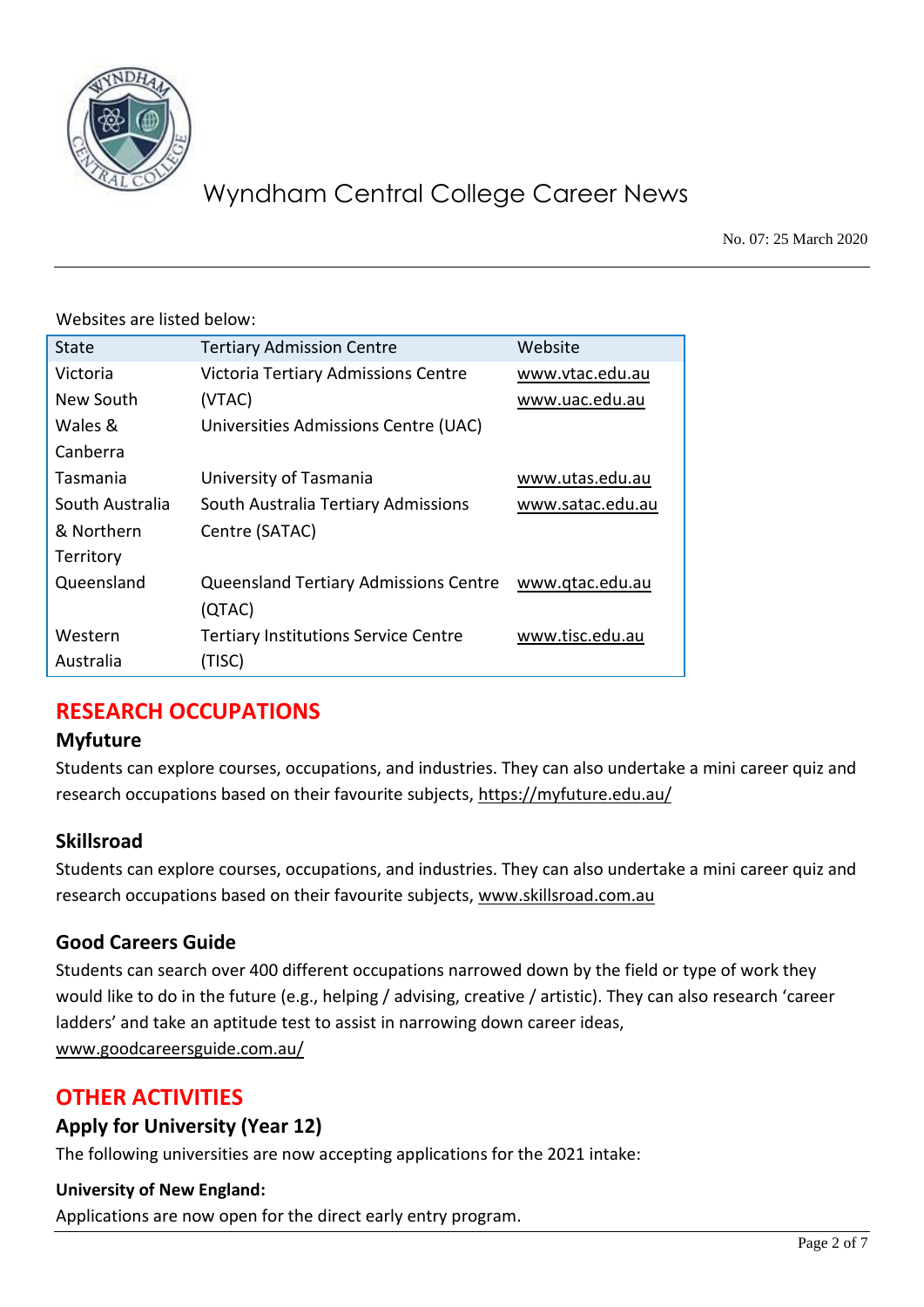

No. 07: 25 March 2020

Websites are listed below:

| <b>State</b>    | <b>Tertiary Admission Centre</b>             | Website          |
|-----------------|----------------------------------------------|------------------|
| Victoria        | Victoria Tertiary Admissions Centre          | www.vtac.edu.au  |
| New South       | (VTAC)                                       | www.uac.edu.au   |
| Wales &         | Universities Admissions Centre (UAC)         |                  |
| Canberra        |                                              |                  |
| Tasmania        | University of Tasmania                       | www.utas.edu.au  |
| South Australia | South Australia Tertiary Admissions          | www.satac.edu.au |
| & Northern      | Centre (SATAC)                               |                  |
| Territory       |                                              |                  |
| Queensland      | <b>Queensland Tertiary Admissions Centre</b> | www.gtac.edu.au  |
|                 | (QTAC)                                       |                  |
| Western         | <b>Tertiary Institutions Service Centre</b>  | www.tisc.edu.au  |
| Australia       | (TISC)                                       |                  |

# **RESEARCH OCCUPATIONS**

### **Myfuture**

Students can explore courses, occupations, and industries. They can also undertake a mini career quiz and research occupations based on their favourite subjects,<https://myfuture.edu.au/>

### **Skillsroad**

Students can explore courses, occupations, and industries. They can also undertake a mini career quiz and research occupations based on their favourite subjects, [www.skillsroad.com.au](http://www.skillsroad.com.au/)

### **Good Careers Guide**

Students can search over 400 different occupations narrowed down by the field or type of work they would like to do in the future (e.g., helping / advising, creative / artistic). They can also research 'career ladders' and take an aptitude test to assist in narrowing down career ideas, [www.goodcareersguide.com.au/](http://www.goodcareersguide.com.au/)

# **OTHER ACTIVITIES**

### **Apply for University (Year 12)**

The following universities are now accepting applications for the 2021 intake:

### **University of New England:**

Applications are now open for the direct early entry program.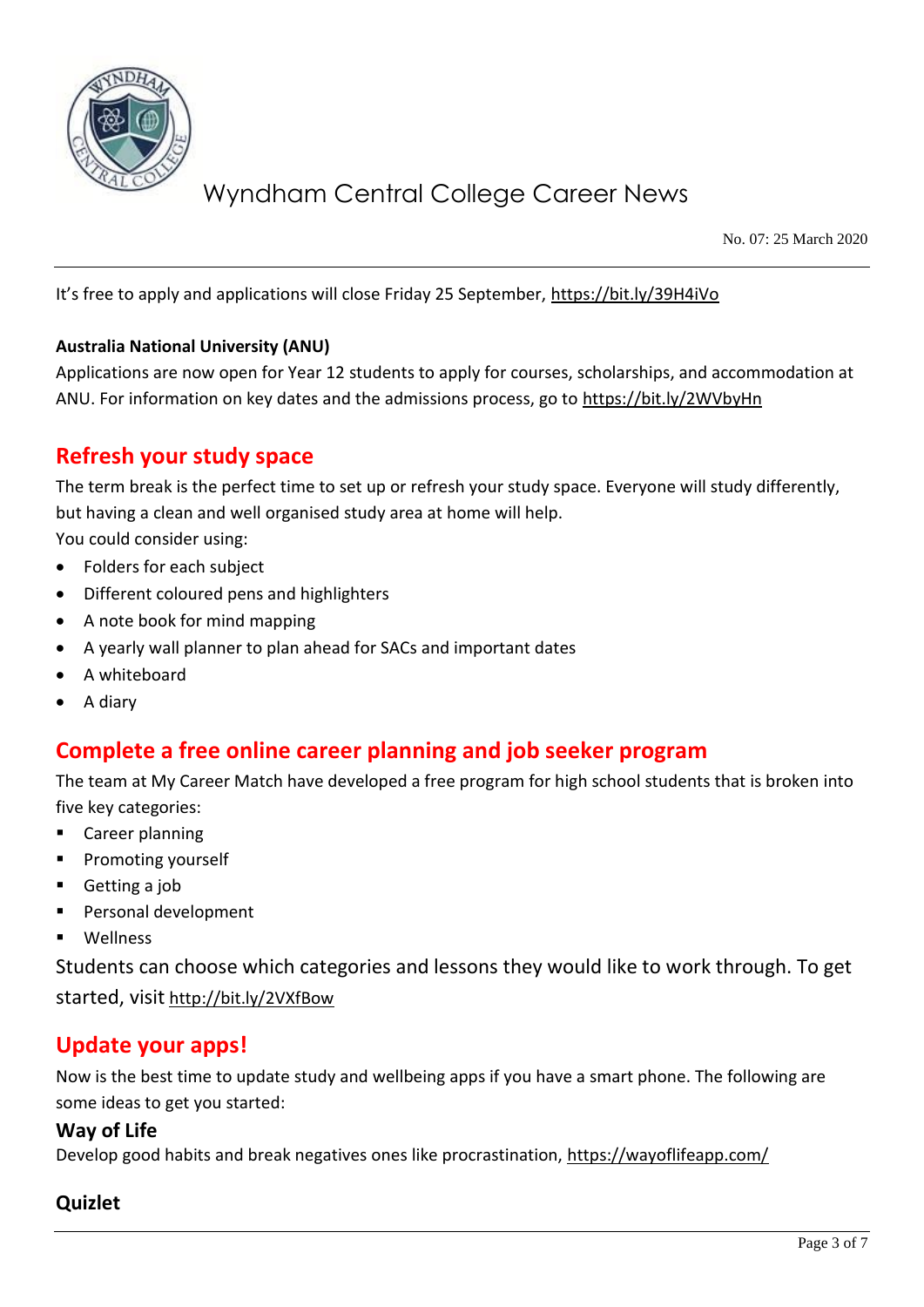

No. 07: 25 March 2020

It's free to apply and applications will close Friday 25 September, <https://bit.ly/39H4iVo>

#### **Australia National University (ANU)**

Applications are now open for Year 12 students to apply for courses, scholarships, and accommodation at ANU. For information on key dates and the admissions process, go to<https://bit.ly/2WVbyHn>

### **Refresh your study space**

The term break is the perfect time to set up or refresh your study space. Everyone will study differently, but having a clean and well organised study area at home will help.

You could consider using:

- Folders for each subject
- Different coloured pens and highlighters
- A note book for mind mapping
- A yearly wall planner to plan ahead for SACs and important dates
- A whiteboard
- A diary

### **Complete a free online career planning and job seeker program**

The team at My Career Match have developed a free program for high school students that is broken into five key categories:

- Career planning
- Promoting yourself
- Getting a job
- Personal development
- **Wellness**

Students can choose which categories and lessons they would like to work through. To get started, visit <http://bit.ly/2VXfBow>

### **Update your apps!**

Now is the best time to update study and wellbeing apps if you have a smart phone. The following are some ideas to get you started:

#### **Way of Life**

Develop good habits and break negatives ones like procrastination,<https://wayoflifeapp.com/>

### **Quizlet**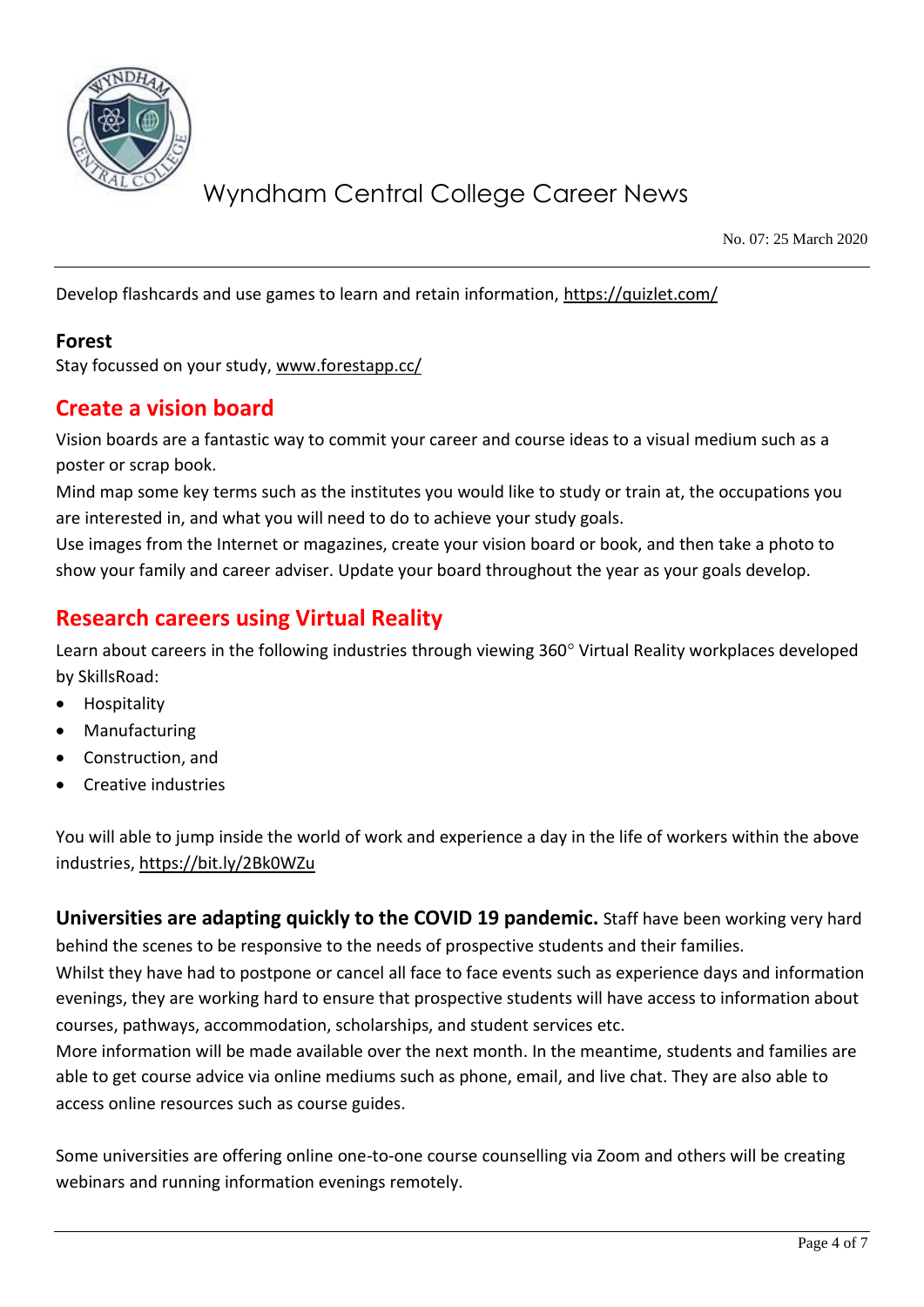

No. 07: 25 March 2020

Develop flashcards and use games to learn and retain information,<https://quizlet.com/>

### **Forest**

Stay focussed on your study, [www.forestapp.cc/](http://www.forestapp.cc/)

## **Create a vision board**

Vision boards are a fantastic way to commit your career and course ideas to a visual medium such as a poster or scrap book.

Mind map some key terms such as the institutes you would like to study or train at, the occupations you are interested in, and what you will need to do to achieve your study goals.

Use images from the Internet or magazines, create your vision board or book, and then take a photo to show your family and career adviser. Update your board throughout the year as your goals develop.

## **Research careers using Virtual Reality**

Learn about careers in the following industries through viewing 360° Virtual Reality workplaces developed by SkillsRoad:

- **Hospitality**
- **Manufacturing**
- Construction, and
- Creative industries

You will able to jump inside the world of work and experience a day in the life of workers within the above industries[, https://bit.ly/2Bk0WZu](https://bit.ly/2Bk0WZu) 

**Universities are adapting quickly to the COVID 19 pandemic.** Staff have been working very hard behind the scenes to be responsive to the needs of prospective students and their families.

Whilst they have had to postpone or cancel all face to face events such as experience days and information evenings, they are working hard to ensure that prospective students will have access to information about courses, pathways, accommodation, scholarships, and student services etc.

More information will be made available over the next month. In the meantime, students and families are able to get course advice via online mediums such as phone, email, and live chat. They are also able to access online resources such as course guides.

Some universities are offering online one-to-one course counselling via Zoom and others will be creating webinars and running information evenings remotely.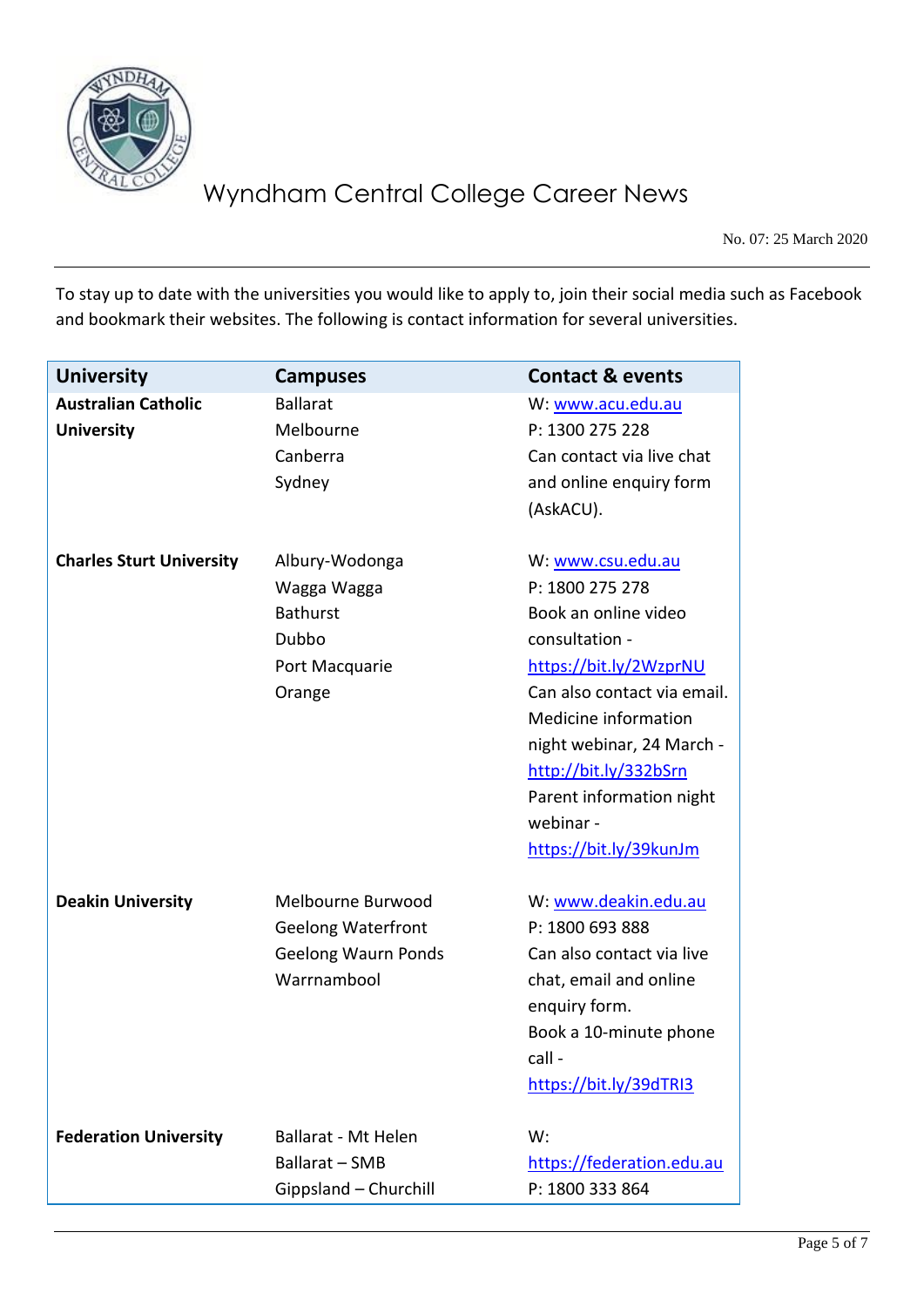

No. 07: 25 March 2020

To stay up to date with the universities you would like to apply to, join their social media such as Facebook and bookmark their websites. The following is contact information for several universities.

| <b>University</b>                               | <b>Campuses</b>                                                                             | <b>Contact &amp; events</b>                                                                                                                                                                                                                                                              |
|-------------------------------------------------|---------------------------------------------------------------------------------------------|------------------------------------------------------------------------------------------------------------------------------------------------------------------------------------------------------------------------------------------------------------------------------------------|
| <b>Australian Catholic</b><br><b>University</b> | <b>Ballarat</b><br>Melbourne<br>Canberra<br>Sydney                                          | W: www.acu.edu.au<br>P: 1300 275 228<br>Can contact via live chat<br>and online enquiry form<br>(AskACU).                                                                                                                                                                                |
| <b>Charles Sturt University</b>                 | Albury-Wodonga<br>Wagga Wagga<br><b>Bathurst</b><br>Dubbo<br>Port Macquarie<br>Orange       | W: www.csu.edu.au<br>P: 1800 275 278<br>Book an online video<br>consultation -<br>https://bit.ly/2WzprNU<br>Can also contact via email.<br>Medicine information<br>night webinar, 24 March -<br>http://bit.ly/332bSrn<br>Parent information night<br>webinar -<br>https://bit.ly/39kunJm |
| <b>Deakin University</b>                        | Melbourne Burwood<br><b>Geelong Waterfront</b><br><b>Geelong Waurn Ponds</b><br>Warrnambool | W: www.deakin.edu.au<br>P: 1800 693 888<br>Can also contact via live<br>chat, email and online<br>enquiry form.<br>Book a 10-minute phone<br>call -<br>https://bit.ly/39dTRI3                                                                                                            |
| <b>Federation University</b>                    | <b>Ballarat - Mt Helen</b><br>Ballarat - SMB<br>Gippsland - Churchill                       | W:<br>https://federation.edu.au<br>P: 1800 333 864                                                                                                                                                                                                                                       |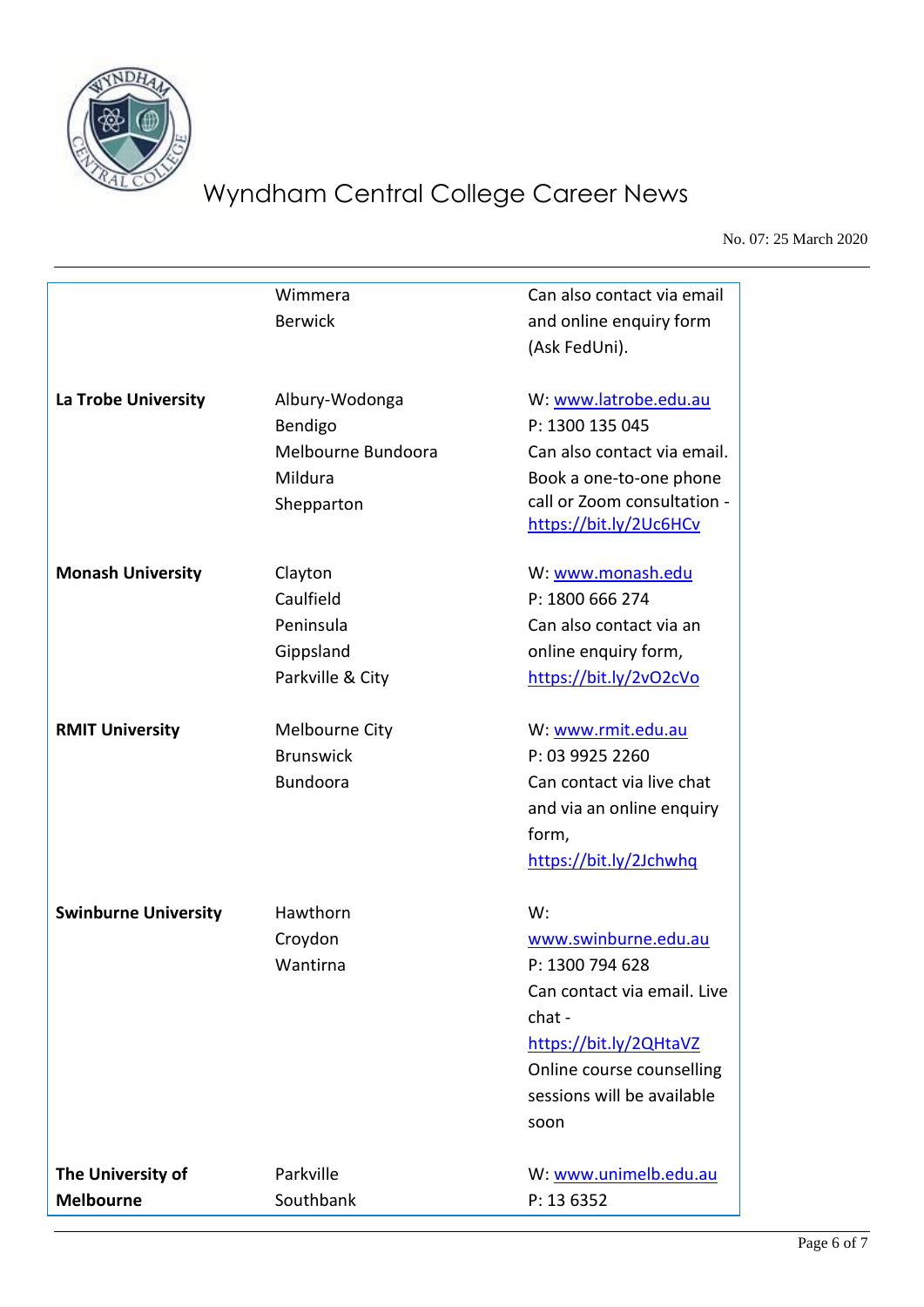

No. 07: 25 March 2020

|                             | Wimmera            | Can also contact via email  |
|-----------------------------|--------------------|-----------------------------|
|                             | <b>Berwick</b>     | and online enquiry form     |
|                             |                    | (Ask FedUni).               |
| La Trobe University         | Albury-Wodonga     | W: www.latrobe.edu.au       |
|                             | Bendigo            | P: 1300 135 045             |
|                             | Melbourne Bundoora | Can also contact via email. |
|                             | Mildura            | Book a one-to-one phone     |
|                             | Shepparton         | call or Zoom consultation - |
|                             |                    | https://bit.ly/2Uc6HCv      |
| <b>Monash University</b>    | Clayton            | W: www.monash.edu           |
|                             | Caulfield          | P: 1800 666 274             |
|                             | Peninsula          | Can also contact via an     |
|                             | Gippsland          | online enquiry form,        |
|                             | Parkville & City   | https://bit.ly/2vO2cVo      |
| <b>RMIT University</b>      | Melbourne City     | W: www.rmit.edu.au          |
|                             | <b>Brunswick</b>   | P: 03 9925 2260             |
|                             | <b>Bundoora</b>    | Can contact via live chat   |
|                             |                    | and via an online enquiry   |
|                             |                    | form,                       |
|                             |                    | https://bit.ly/2Jchwhq      |
| <b>Swinburne University</b> | Hawthorn           | W:                          |
|                             | Croydon            | www.swinburne.edu.au        |
|                             | Wantirna           | P: 1300 794 628             |
|                             |                    | Can contact via email. Live |
|                             |                    | chat-                       |
|                             |                    | https://bit.ly/2QHtaVZ      |
|                             |                    | Online course counselling   |
|                             |                    | sessions will be available  |
|                             |                    | soon                        |
|                             | Parkville          |                             |
| <b>Melbourne</b>            | Southbank          | P: 13 6352                  |
| The University of           |                    | W: www.unimelb.edu.au       |